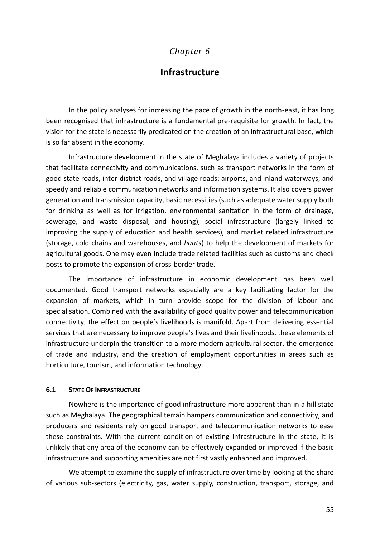# *Chapter 6*

# **Infrastructure**

In the policy analyses for increasing the pace of growth in the north-east, it has long been recognised that infrastructure is a fundamental pre-requisite for growth. In fact, the vision for the state is necessarily predicated on the creation of an infrastructural base, which is so far absent in the economy.

Infrastructure development in the state of Meghalaya includes a variety of projects that facilitate connectivity and communications, such as transport networks in the form of good state roads, inter-district roads, and village roads; airports, and inland waterways; and speedy and reliable communication networks and information systems. It also covers power generation and transmission capacity, basic necessities (such as adequate water supply both for drinking as well as for irrigation, environmental sanitation in the form of drainage, sewerage, and waste disposal, and housing), social infrastructure (largely linked to improving the supply of education and health services), and market related infrastructure (storage, cold chains and warehouses, and *haats*) to help the development of markets for agricultural goods. One may even include trade related facilities such as customs and check posts to promote the expansion of cross-border trade.

The importance of infrastructure in economic development has been well documented. Good transport networks especially are a key facilitating factor for the expansion of markets, which in turn provide scope for the division of labour and specialisation. Combined with the availability of good quality power and telecommunication connectivity, the effect on people's livelihoods is manifold. Apart from delivering essential services that are necessary to improve people's lives and their livelihoods, these elements of infrastructure underpin the transition to a more modern agricultural sector, the emergence of trade and industry, and the creation of employment opportunities in areas such as horticulture, tourism, and information technology.

### **6.1 STATE OF INFRASTRUCTURE**

Nowhere is the importance of good infrastructure more apparent than in a hill state such as Meghalaya. The geographical terrain hampers communication and connectivity, and producers and residents rely on good transport and telecommunication networks to ease these constraints. With the current condition of existing infrastructure in the state, it is unlikely that any area of the economy can be effectively expanded or improved if the basic infrastructure and supporting amenities are not first vastly enhanced and improved.

We attempt to examine the supply of infrastructure over time by looking at the share of various sub-sectors (electricity, gas, water supply, construction, transport, storage, and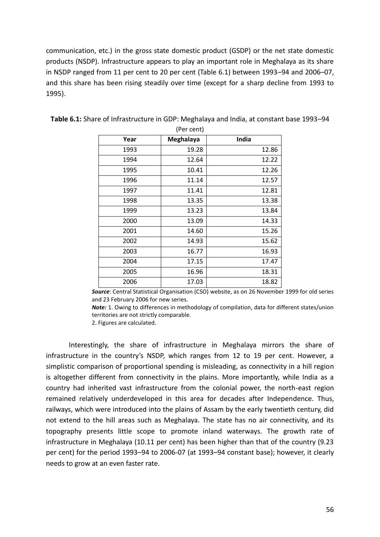communication, etc.) in the gross state domestic product (GSDP) or the net state domestic products (NSDP). Infrastructure appears to play an important role in Meghalaya as its share in NSDP ranged from 11 per cent to 20 per cent (Table 6.1) between 1993–94 and 2006–07, and this share has been rising steadily over time (except for a sharp decline from 1993 to 1995).

| Year | Meghalaya | India |
|------|-----------|-------|
| 1993 | 19.28     | 12.86 |
| 1994 | 12.64     | 12.22 |
| 1995 | 10.41     | 12.26 |
| 1996 | 11.14     | 12.57 |
| 1997 | 11.41     | 12.81 |
| 1998 | 13.35     | 13.38 |
| 1999 | 13.23     | 13.84 |
| 2000 | 13.09     | 14.33 |
| 2001 | 14.60     | 15.26 |
| 2002 | 14.93     | 15.62 |
| 2003 | 16.77     | 16.93 |
| 2004 | 17.15     | 17.47 |
| 2005 | 16.96     | 18.31 |
| 2006 | 17.03     | 18.82 |

**Table 6.1:** Share of Infrastructure in GDP: Meghalaya and India, at constant base 1993–94 (Per cent)

*Source*: Central Statistical Organisation (CSO) website, as on 26 November 1999 for old series and 23 February 2006 for new series.

*Note:* 1. Owing to differences in methodology of compilation, data for different states/union territories are not strictly comparable.

2. Figures are calculated.

Interestingly, the share of infrastructure in Meghalaya mirrors the share of infrastructure in the country's NSDP, which ranges from 12 to 19 per cent. However, a simplistic comparison of proportional spending is misleading, as connectivity in a hill region is altogether different from connectivity in the plains. More importantly, while India as a country had inherited vast infrastructure from the colonial power, the north-east region remained relatively underdeveloped in this area for decades after Independence. Thus, railways, which were introduced into the plains of Assam by the early twentieth century, did not extend to the hill areas such as Meghalaya. The state has no air connectivity, and its topography presents little scope to promote inland waterways. The growth rate of infrastructure in Meghalaya (10.11 per cent) has been higher than that of the country (9.23 per cent) for the period 1993–94 to 2006-07 (at 1993–94 constant base); however, it clearly needs to grow at an even faster rate.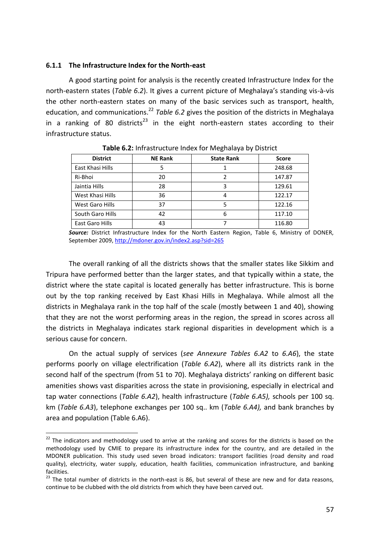### **6.1.1 The Infrastructure Index for the North-east**

A good starting point for analysis is the recently created Infrastructure Index for the north-eastern states (*Table 6.2*). It gives a current picture of Meghalaya's standing vis-à-vis the other north-eastern states on many of the basic services such as transport, health, education, and communications.<sup>22</sup> *Table 6.2* gives the position of the districts in Meghalaya in a ranking of 80 districts<sup>23</sup> in the eight north-eastern states according to their infrastructure status.

| <b>District</b>  | <b>NE Rank</b> | <b>State Rank</b> | <b>Score</b> |
|------------------|----------------|-------------------|--------------|
| East Khasi Hills | 5              |                   | 248.68       |
| Ri-Bhoi          | 20             |                   | 147.87       |
| Jaintia Hills    | 28             | 3                 | 129.61       |
| West Khasi Hills | 36             | 4                 | 122.17       |
| West Garo Hills  | 37             | 5                 | 122.16       |
| South Garo Hills | 42             | 6                 | 117.10       |
| East Garo Hills  | 43             |                   | 116.80       |

**Table 6.2:** Infrastructure Index for Meghalaya by District

*Source:* District Infrastructure Index for the North Eastern Region, Table 6, Ministry of DONER, September 2009,<http://mdoner.gov.in/index2.asp?sid=265>

The overall ranking of all the districts shows that the smaller states like Sikkim and Tripura have performed better than the larger states, and that typically within a state, the district where the state capital is located generally has better infrastructure. This is borne out by the top ranking received by East Khasi Hills in Meghalaya. While almost all the districts in Meghalaya rank in the top half of the scale (mostly between 1 and 40), showing that they are not the worst performing areas in the region, the spread in scores across all the districts in Meghalaya indicates stark regional disparities in development which is a serious cause for concern.

On the actual supply of services (*see Annexure Tables 6.A2* to *6.A6*), the state performs poorly on village electrification (*Table 6.A2*), where all its districts rank in the second half of the spectrum (from 51 to 70). Meghalaya districts' ranking on different basic amenities shows vast disparities across the state in provisioning, especially in electrical and tap water connections (*Table 6.A2*), health infrastructure (*Table 6.A5),* schools per 100 sq. km (*Table 6.A3*), telephone exchanges per 100 sq.. km (*Table 6.A4),* and bank branches by area and population (Table 6.A6).

<u>.</u>

 $22$  The indicators and methodology used to arrive at the ranking and scores for the districts is based on the methodology used by CMIE to prepare its infrastructure index for the country, and are detailed in the MDONER publication. This study used seven broad indicators: transport facilities (road density and road quality), electricity, water supply, education, health facilities, communication infrastructure, and banking facilities.

 $23$  The total number of districts in the north-east is 86, but several of these are new and for data reasons, continue to be clubbed with the old districts from which they have been carved out.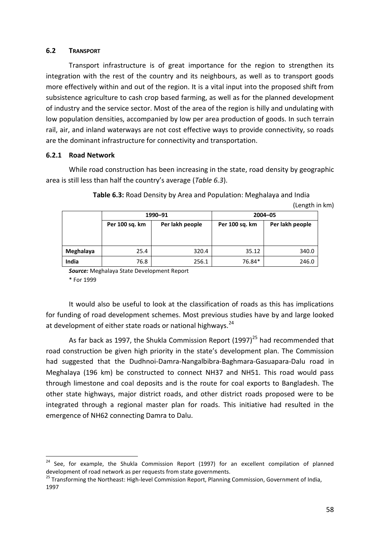### **6.2 TRANSPORT**

Transport infrastructure is of great importance for the region to strengthen its integration with the rest of the country and its neighbours, as well as to transport goods more effectively within and out of the region. It is a vital input into the proposed shift from subsistence agriculture to cash crop based farming, as well as for the planned development of industry and the service sector. Most of the area of the region is hilly and undulating with low population densities, accompanied by low per area production of goods. In such terrain rail, air, and inland waterways are not cost effective ways to provide connectivity, so roads are the dominant infrastructure for connectivity and transportation.

# **6.2.1 Road Network**

<u>.</u>

While road construction has been increasing in the state, road density by geographic area is still less than half the country's average (*Table 6.3*).

|           |                | 1990-91         | $2004 - 05$    |                 |  |
|-----------|----------------|-----------------|----------------|-----------------|--|
|           | Per 100 sq. km | Per lakh people | Per 100 sq. km | Per lakh people |  |
|           |                |                 |                |                 |  |
|           |                |                 |                |                 |  |
| Meghalaya | 25.4           | 320.4           | 35.12          | 340.0           |  |
| India     | 76.8           | 256.1           | 76.84*         | 246.0           |  |

**Table 6.3:** Road Density by Area and Population: Meghalaya and India (Length in km)

*Source:* Meghalaya State Development Report \* For 1999

It would also be useful to look at the classification of roads as this has implications for funding of road development schemes. Most previous studies have by and large looked at development of either state roads or national highways.<sup>24</sup>

As far back as 1997, the Shukla Commission Report (1997)<sup>25</sup> had recommended that road construction be given high priority in the state's development plan. The Commission had suggested that the Dudhnoi-Damra-Nangalbibra-Baghmara-Gasuapara-Dalu road in Meghalaya (196 km) be constructed to connect NH37 and NH51. This road would pass through limestone and coal deposits and is the route for coal exports to Bangladesh. The other state highways, major district roads, and other district roads proposed were to be integrated through a regional master plan for roads. This initiative had resulted in the emergence of NH62 connecting Damra to Dalu.

<sup>&</sup>lt;sup>24</sup> See, for example, the Shukla Commission Report (1997) for an excellent compilation of planned development of road network as per requests from state governments.

<sup>&</sup>lt;sup>25</sup> Transforming the Northeast: High-level Commission Report, Planning Commission, Government of India, 1997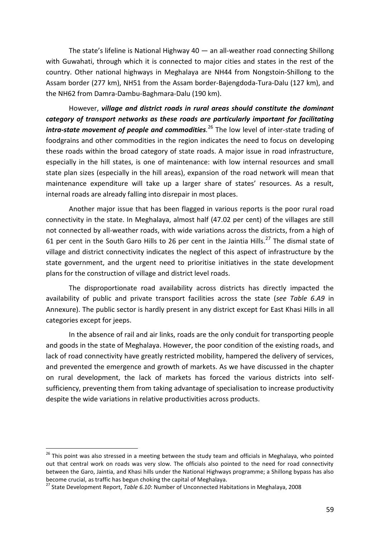The state's lifeline is National Highway 40 — an all-weather road connecting Shillong with Guwahati, through which it is connected to major cities and states in the rest of the country. Other national highways in Meghalaya are NH44 from Nongstoin-Shillong to the Assam border (277 km), NH51 from the Assam border-Bajengdoda-Tura-Dalu (127 km), and the NH62 from Damra-Dambu-Baghmara-Dalu (190 km).

However, *village and district roads in rural areas should constitute the dominant category of transport networks as these roads are particularly important for facilitating intra-state movement of people and commodities.* <sup>26</sup> The low level of inter-state trading of foodgrains and other commodities in the region indicates the need to focus on developing these roads within the broad category of state roads. A major issue in road infrastructure, especially in the hill states, is one of maintenance: with low internal resources and small state plan sizes (especially in the hill areas), expansion of the road network will mean that maintenance expenditure will take up a larger share of states' resources. As a result, internal roads are already falling into disrepair in most places.

Another major issue that has been flagged in various reports is the poor rural road connectivity in the state. In Meghalaya, almost half (47.02 per cent) of the villages are still not connected by all-weather roads, with wide variations across the districts, from a high of 61 per cent in the South Garo Hills to 26 per cent in the Jaintia Hills.<sup>27</sup> The dismal state of village and district connectivity indicates the neglect of this aspect of infrastructure by the state government, and the urgent need to prioritise initiatives in the state development plans for the construction of village and district level roads.

The disproportionate road availability across districts has directly impacted the availability of public and private transport facilities across the state (*see Table 6.A9* in Annexure). The public sector is hardly present in any district except for East Khasi Hills in all categories except for jeeps.

In the absence of rail and air links, roads are the only conduit for transporting people and goods in the state of Meghalaya. However, the poor condition of the existing roads, and lack of road connectivity have greatly restricted mobility, hampered the delivery of services, and prevented the emergence and growth of markets. As we have discussed in the chapter on rural development, the lack of markets has forced the various districts into selfsufficiency, preventing them from taking advantage of specialisation to increase productivity despite the wide variations in relative productivities across products.

<u>.</u>

<sup>&</sup>lt;sup>26</sup> This point was also stressed in a meeting between the study team and officials in Meghalaya, who pointed out that central work on roads was very slow. The officials also pointed to the need for road connectivity between the Garo, Jaintia, and Khasi hills under the National Highways programme; a Shillong bypass has also become crucial, as traffic has begun choking the capital of Meghalaya.

<sup>27</sup> State Development Report, *Table 6.10*: Number of Unconnected Habitations in Meghalaya, 2008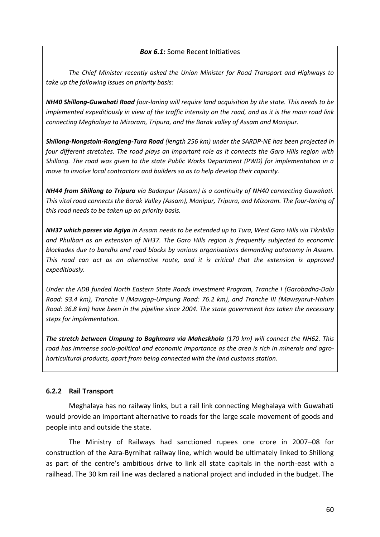## *Box 6.1:* Some Recent Initiatives

*The Chief Minister recently asked the Union Minister for Road Transport and Highways to take up the following issues on priority basis:* 

*NH40 Shillong-Guwahati Road four-laning will require land acquisition by the state. This needs to be implemented expeditiously in view of the traffic intensity on the road, and as it is the main road link connecting Meghalaya to Mizoram, Tripura, and the Barak valley of Assam and Manipur.*

*Shillong-Nongstoin-Rongjeng-Tura Road (length 256 km) under the SARDP-NE has been projected in four different stretches. The road plays an important role as it connects the Garo Hills region with Shillong. The road was given to the state Public Works Department (PWD) for implementation in a move to involve local contractors and builders so as to help develop their capacity.*

*NH44 from Shillong to Tripura via Badarpur (Assam) is a continuity of NH40 connecting Guwahati. This vital road connects the Barak Valley (Assam), Manipur, Tripura, and Mizoram. The four-laning of this road needs to be taken up on priority basis.*

*NH37 which passes via Agiya in Assam needs to be extended up to Tura, West Garo Hills via Tikrikilla and Phulbari as an extension of NH37. The Garo Hills region is frequently subjected to economic blockades due to bandhs and road blocks by various organisations demanding autonomy in Assam. This road can act as an alternative route, and it is critical that the extension is approved expeditiously.* 

*Under the ADB funded North Eastern State Roads Investment Program, Tranche I (Garobadha-Dalu Road: 93.4 km), Tranche II (Mawgap-Umpung Road: 76.2 km), and Tranche III (Mawsynrut-Hahim Road: 36.8 km) have been in the pipeline since 2004. The state government has taken the necessary steps for implementation.* 

*The stretch between Umpung to Baghmara via Maheskhola (170 km) will connect the NH62. This road has immense socio-political and economic importance as the area is rich in minerals and agrohorticultural products, apart from being connected with the land customs station.* 

# **6.2.2 Rail Transport**

Meghalaya has no railway links, but a rail link connecting Meghalaya with Guwahati would provide an important alternative to roads for the large scale movement of goods and people into and outside the state.

The Ministry of Railways had sanctioned rupees one crore in 2007–08 for construction of the Azra-Byrnihat railway line, which would be ultimately linked to Shillong as part of the centre's ambitious drive to link all state capitals in the north-east with a railhead. The 30 km rail line was declared a national project and included in the budget. The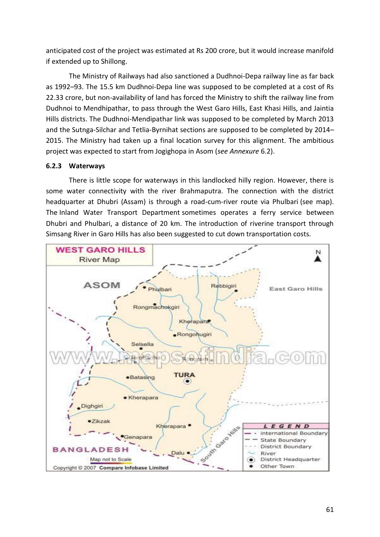anticipated cost of the project was estimated at Rs 200 crore, but it would increase manifold if extended up to Shillong.

The Ministry of Railways had also sanctioned a Dudhnoi-Depa railway line as far back as 1992–93. The 15.5 km Dudhnoi-Depa line was supposed to be completed at a cost of Rs 22.33 crore, but non-availability of land has forced the Ministry to shift the railway line from Dudhnoi to Mendhipathar, to pass through the West Garo Hills, East Khasi Hills, and Jaintia Hills districts. The Dudhnoi-Mendipathar link was supposed to be completed by March 2013 and the Sutnga-Silchar and Tetlia-Byrnihat sections are supposed to be completed by 2014– 2015. The Ministry had taken up a final location survey for this alignment. The ambitious project was expected to start from Jogighopa in Asom (*see Annexure* 6.2).

# **6.2.3 Waterways**

There is little scope for waterways in this landlocked hilly region. However, there is some water connectivity with the river Brahmaputra. The connection with the district headquarter at Dhubri (Assam) is through a road-cum-river route via Phulbari (see map). The Inland Water Transport Department sometimes operates a ferry service between Dhubri and Phulbari, a distance of 20 km. The introduction of riverine transport through Simsang River in Garo Hills has also been suggested to cut down transportation costs.

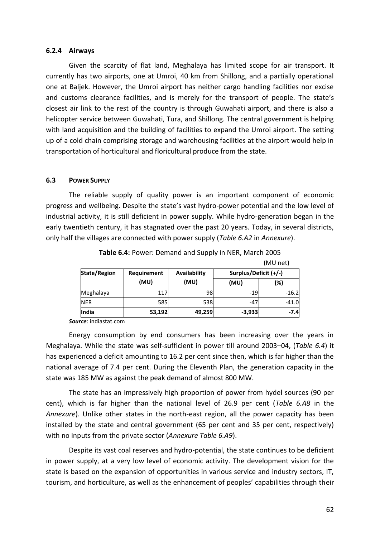#### **6.2.4 Airways**

Given the scarcity of flat land, Meghalaya has limited scope for air transport. It currently has two airports, one at Umroi, 40 km from Shillong, and a partially operational one at Baljek. However, the Umroi airport has neither cargo handling facilities nor excise and customs clearance facilities, and is merely for the transport of people. The state's closest air link to the rest of the country is through Guwahati airport, and there is also a helicopter service between Guwahati, Tura, and Shillong. The central government is helping with land acquisition and the building of facilities to expand the Umroi airport. The setting up of a cold chain comprising storage and warehousing facilities at the airport would help in transportation of horticultural and floricultural produce from the state.

### **6.3 POWER SUPPLY**

The reliable supply of quality power is an important component of economic progress and wellbeing. Despite the state's vast hydro-power potential and the low level of industrial activity, it is still deficient in power supply. While hydro-generation began in the early twentieth century, it has stagnated over the past 20 years. Today, in several districts, only half the villages are connected with power supply (*Table 6.A2* in *Annexure*).

|                     |                             |        |                       | (MU net) |
|---------------------|-----------------------------|--------|-----------------------|----------|
| <b>State/Region</b> | Availability<br>Requirement |        | Surplus/Deficit (+/-) |          |
|                     | (MU)                        | (MU)   | (MU)                  | (%)      |
| Meghalaya           | 117                         | 98     | $-19$                 | $-16.2$  |
| <b>NER</b>          | 585                         | 538    | $-47$                 | $-41.0$  |
| <b>India</b>        | 53,192                      | 49,259 | $-3,933$              | $-7.4$   |

**Table 6.4:** Power: Demand and Supply in NER, March 2005

*Source*: indiastat.com

Energy consumption by end consumers has been increasing over the years in Meghalaya. While the state was self-sufficient in power till around 2003–04, (*Table 6.4*) it has experienced a deficit amounting to 16.2 per cent since then, which is far higher than the national average of 7.4 per cent. During the Eleventh Plan, the generation capacity in the state was 185 MW as against the peak demand of almost 800 MW.

The state has an impressively high proportion of power from hydel sources (90 per cent), which is far higher than the national level of 26.9 per cent (*Table 6.A8* in the *Annexure*). Unlike other states in the north-east region, all the power capacity has been installed by the state and central government (65 per cent and 35 per cent, respectively) with no inputs from the private sector (*Annexure Table 6.A9*).

Despite its vast coal reserves and hydro-potential, the state continues to be deficient in power supply, at a very low level of economic activity. The development vision for the state is based on the expansion of opportunities in various service and industry sectors, IT, tourism, and horticulture, as well as the enhancement of peoples' capabilities through their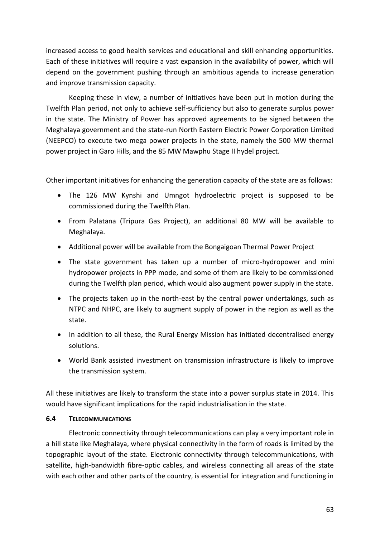increased access to good health services and educational and skill enhancing opportunities. Each of these initiatives will require a vast expansion in the availability of power, which will depend on the government pushing through an ambitious agenda to increase generation and improve transmission capacity.

Keeping these in view, a number of initiatives have been put in motion during the Twelfth Plan period, not only to achieve self-sufficiency but also to generate surplus power in the state. The Ministry of Power has approved agreements to be signed between the Meghalaya government and the state-run North Eastern Electric Power Corporation Limited (NEEPCO) to execute two mega power projects in the state, namely the 500 MW thermal power project in Garo Hills, and the 85 MW Mawphu Stage II hydel project.

Other important initiatives for enhancing the generation capacity of the state are as follows:

- The 126 MW Kynshi and Umngot hydroelectric project is supposed to be commissioned during the Twelfth Plan.
- From Palatana (Tripura Gas Project), an additional 80 MW will be available to Meghalaya.
- Additional power will be available from the Bongaigoan Thermal Power Project
- The state government has taken up a number of micro-hydropower and mini hydropower projects in PPP mode, and some of them are likely to be commissioned during the Twelfth plan period, which would also augment power supply in the state.
- The projects taken up in the north-east by the central power undertakings, such as NTPC and NHPC, are likely to augment supply of power in the region as well as the state.
- In addition to all these, the Rural Energy Mission has initiated decentralised energy solutions.
- World Bank assisted investment on transmission infrastructure is likely to improve the transmission system.

All these initiatives are likely to transform the state into a power surplus state in 2014. This would have significant implications for the rapid industrialisation in the state.

# **6.4 TELECOMMUNICATIONS**

Electronic connectivity through telecommunications can play a very important role in a hill state like Meghalaya, where physical connectivity in the form of roads is limited by the topographic layout of the state. Electronic connectivity through telecommunications, with satellite, high-bandwidth fibre-optic cables, and wireless connecting all areas of the state with each other and other parts of the country, is essential for integration and functioning in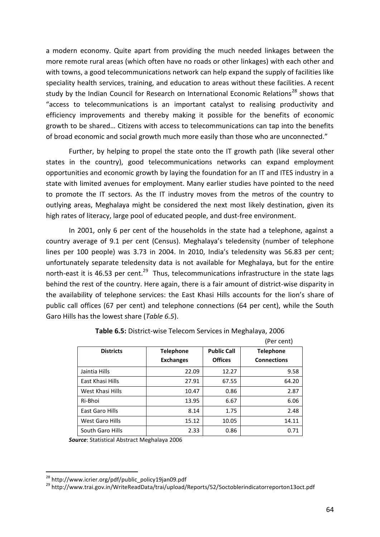a modern economy. Quite apart from providing the much needed linkages between the more remote rural areas (which often have no roads or other linkages) with each other and with towns, a good telecommunications network can help expand the supply of facilities like speciality health services, training, and education to areas without these facilities. A recent study by the Indian Council for Research on International Economic Relations<sup>28</sup> shows that "access to telecommunications is an important catalyst to realising productivity and efficiency improvements and thereby making it possible for the benefits of economic growth to be shared… Citizens with access to telecommunications can tap into the benefits of broad economic and social growth much more easily than those who are unconnected."

Further, by helping to propel the state onto the IT growth path (like several other states in the country), good telecommunications networks can expand employment opportunities and economic growth by laying the foundation for an IT and ITES industry in a state with limited avenues for employment. Many earlier studies have pointed to the need to promote the IT sectors. As the IT industry moves from the metros of the country to outlying areas, Meghalaya might be considered the next most likely destination, given its high rates of literacy, large pool of educated people, and dust-free environment.

In 2001, only 6 per cent of the households in the state had a telephone, against a country average of 9.1 per cent (Census). Meghalaya's teledensity (number of telephone lines per 100 people) was 3.73 in 2004. In 2010, India's teledensity was 56.83 per cent; unfortunately separate teledensity data is not available for Meghalaya, but for the entire north-east it is 46.53 per cent.<sup>29</sup> Thus, telecommunications infrastructure in the state lags behind the rest of the country. Here again, there is a fair amount of district-wise disparity in the availability of telephone services: the East Khasi Hills accounts for the lion's share of public call offices (67 per cent) and telephone connections (64 per cent), while the South Garo Hills has the lowest share (*Table 6.5*).

|                  |                  |                    | (Per cent)         |  |
|------------------|------------------|--------------------|--------------------|--|
| <b>Districts</b> | <b>Telephone</b> | <b>Public Call</b> | <b>Telephone</b>   |  |
|                  | <b>Exchanges</b> | <b>Offices</b>     | <b>Connections</b> |  |
| Jaintia Hills    | 22.09            | 12.27              | 9.58               |  |
| East Khasi Hills | 27.91            | 67.55              | 64.20              |  |
| West Khasi Hills | 10.47            | 0.86               | 2.87               |  |
| Ri-Bhoi          | 13.95            | 6.67               | 6.06               |  |
| East Garo Hills  | 8.14             | 1.75               | 2.48               |  |
| West Garo Hills  | 15.12            | 10.05              | 14.11              |  |
| South Garo Hills | 2.33             | 0.86               | 0.71               |  |

| Table 6.5: District-wise Telecom Services in Meghalaya, 2006 |  |  |  |  |
|--------------------------------------------------------------|--|--|--|--|
|--------------------------------------------------------------|--|--|--|--|

*Source*: Statistical Abstract Meghalaya 2006

<u>.</u>

<sup>&</sup>lt;sup>28</sup> http://www.icrier.org/pdf/public\_policy19jan09.pdf

<sup>29</sup> http://www.trai.gov.in/WriteReadData/trai/upload/Reports/52/5octoblerindicatorreporton13oct.pdf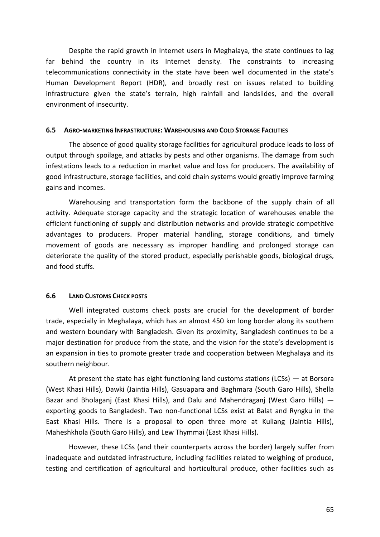Despite the rapid growth in Internet users in Meghalaya, the state continues to lag far behind the country in its Internet density. The constraints to increasing telecommunications connectivity in the state have been well documented in the state's Human Development Report (HDR), and broadly rest on issues related to building infrastructure given the state's terrain, high rainfall and landslides, and the overall environment of insecurity.

### **6.5 AGRO-MARKETING INFRASTRUCTURE: WAREHOUSING AND COLD STORAGE FACILITIES**

The absence of good quality storage facilities for agricultural produce leads to loss of output through spoilage, and attacks by pests and other organisms. The damage from such infestations leads to a reduction in market value and loss for producers. The availability of good infrastructure, storage facilities, and cold chain systems would greatly improve farming gains and incomes.

Warehousing and transportation form the backbone of the supply chain of all activity. Adequate storage capacity and the strategic location of warehouses enable the efficient functioning of supply and distribution networks and provide strategic competitive advantages to producers. Proper material handling, storage conditions, and timely movement of goods are necessary as improper handling and prolonged storage can deteriorate the quality of the stored product, especially perishable goods, biological drugs, and food stuffs.

#### **6.6 LAND CUSTOMS CHECK POSTS**

Well integrated customs check posts are crucial for the development of border trade, especially in Meghalaya, which has an almost 450 km long border along its southern and western boundary with Bangladesh. Given its proximity, Bangladesh continues to be a major destination for produce from the state, and the vision for the state's development is an expansion in ties to promote greater trade and cooperation between Meghalaya and its southern neighbour.

At present the state has eight functioning land customs stations (LCSs) — at Borsora (West Khasi Hills), Dawki (Jaintia Hills), Gasuapara and Baghmara (South Garo Hills), Shella Bazar and Bholaganj (East Khasi Hills), and Dalu and Mahendraganj (West Garo Hills) exporting goods to Bangladesh. Two non-functional LCSs exist at Balat and Ryngku in the East Khasi Hills. There is a proposal to open three more at Kuliang (Jaintia Hills), Maheshkhola (South Garo Hills), and Lew Thymmai (East Khasi Hills).

However, these LCSs (and their counterparts across the border) largely suffer from inadequate and outdated infrastructure, including facilities related to weighing of produce, testing and certification of agricultural and horticultural produce, other facilities such as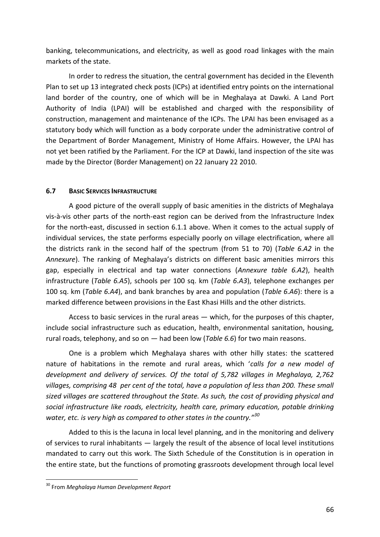banking, telecommunications, and electricity, as well as good road linkages with the main markets of the state.

In order to redress the situation, the central government has decided in the Eleventh Plan to set up 13 integrated check posts (ICPs) at identified entry points on the international land border of the country, one of which will be in Meghalaya at Dawki. A Land Port Authority of India (LPAI) will be established and charged with the responsibility of construction, management and maintenance of the ICPs. The LPAI has been envisaged as a statutory body which will function as a body corporate under the administrative control of the Department of Border Management, Ministry of Home Affairs. However, the LPAI has not yet been ratified by the Parliament. For the ICP at Dawki, land inspection of the site was made by the Director (Border Management) on 22 January 22 2010.

# **6.7 BASIC SERVICES INFRASTRUCTURE**

A good picture of the overall supply of basic amenities in the districts of Meghalaya vis-à-vis other parts of the north-east region can be derived from the Infrastructure Index for the north-east, discussed in section 6.1.1 above. When it comes to the actual supply of individual services, the state performs especially poorly on village electrification, where all the districts rank in the second half of the spectrum (from 51 to 70) (*Table 6.A2* in the *Annexure*). The ranking of Meghalaya's districts on different basic amenities mirrors this gap, especially in electrical and tap water connections (*Annexure table 6.A2*), health infrastructure (*Table 6.A5*), schools per 100 sq. km (*Table 6.A3*), telephone exchanges per 100 sq. km (*Table 6.A4*), and bank branches by area and population (*Table 6.A6*): there is a marked difference between provisions in the East Khasi Hills and the other districts.

Access to basic services in the rural areas — which, for the purposes of this chapter, include social infrastructure such as education, health, environmental sanitation, housing, rural roads, telephony, and so on — had been low (*Table 6.6*) for two main reasons.

One is a problem which Meghalaya shares with other hilly states: the scattered nature of habitations in the remote and rural areas, which '*calls for a new model of development and delivery of services. Of the total of 5,782 villages in Meghalaya, 2,762 villages, comprising 48 per cent of the total, have a population of less than 200. These small sized villages are scattered throughout the State. As such, the cost of providing physical and social infrastructure like roads, electricity, health care, primary education, potable drinking water, etc. is very high as compared to other states in the country."<sup>30</sup>*

Added to this is the lacuna in local level planning, and in the monitoring and delivery of services to rural inhabitants — largely the result of the absence of local level institutions mandated to carry out this work. The Sixth Schedule of the Constitution is in operation in the entire state, but the functions of promoting grassroots development through local level

1

<sup>30</sup> From *Meghalaya Human Development Report*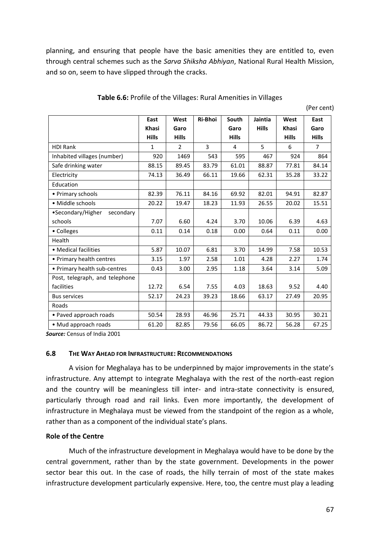planning, and ensuring that people have the basic amenities they are entitled to, even through central schemes such as the *Sarva Shiksha Abhiyan*, National Rural Health Mission, and so on, seem to have slipped through the cracks.

|                                | East         | West           | Ri-Bhoi | South        | Jaintia      | West         | East           |
|--------------------------------|--------------|----------------|---------|--------------|--------------|--------------|----------------|
|                                | <b>Khasi</b> | Garo           |         | Garo         | <b>Hills</b> | <b>Khasi</b> | Garo           |
|                                | <b>Hills</b> | <b>Hills</b>   |         | <b>Hills</b> |              | <b>Hills</b> | <b>Hills</b>   |
| <b>HDI Rank</b>                | $\mathbf{1}$ | $\overline{2}$ | 3       | 4            | 5            | 6            | $\overline{7}$ |
| Inhabited villages (number)    | 920          | 1469           | 543     | 595          | 467          | 924          | 864            |
| Safe drinking water            | 88.15        | 89.45          | 83.79   | 61.01        | 88.87        | 77.81        | 84.14          |
| Electricity                    | 74.13        | 36.49          | 66.11   | 19.66        | 62.31        | 35.28        | 33.22          |
| Education                      |              |                |         |              |              |              |                |
| • Primary schools              | 82.39        | 76.11          | 84.16   | 69.92        | 82.01        | 94.91        | 82.87          |
| • Middle schools               | 20.22        | 19.47          | 18.23   | 11.93        | 26.55        | 20.02        | 15.51          |
| •Secondary/Higher<br>secondary |              |                |         |              |              |              |                |
| schools                        | 7.07         | 6.60           | 4.24    | 3.70         | 10.06        | 6.39         | 4.63           |
| • Colleges                     | 0.11         | 0.14           | 0.18    | 0.00         | 0.64         | 0.11         | 0.00           |
| Health                         |              |                |         |              |              |              |                |
| • Medical facilities           | 5.87         | 10.07          | 6.81    | 3.70         | 14.99        | 7.58         | 10.53          |
| • Primary health centres       | 3.15         | 1.97           | 2.58    | 1.01         | 4.28         | 2.27         | 1.74           |
| • Primary health sub-centres   | 0.43         | 3.00           | 2.95    | 1.18         | 3.64         | 3.14         | 5.09           |
| Post, telegraph, and telephone |              |                |         |              |              |              |                |
| facilities                     | 12.72        | 6.54           | 7.55    | 4.03         | 18.63        | 9.52         | 4.40           |
| <b>Bus services</b>            | 52.17        | 24.23          | 39.23   | 18.66        | 63.17        | 27.49        | 20.95          |
| Roads                          |              |                |         |              |              |              |                |
| • Paved approach roads         | 50.54        | 28.93          | 46.96   | 25.71        | 44.33        | 30.95        | 30.21          |
| • Mud approach roads           | 61.20        | 82.85          | 79.56   | 66.05        | 86.72        | 56.28        | 67.25          |

#### **Table 6.6:** Profile of the Villages: Rural Amenities in Villages

(Per cent)

*Source:* Census of India 2001

#### **6.8 THE WAY AHEAD FOR INFRASTRUCTURE: RECOMMENDATIONS**

A vision for Meghalaya has to be underpinned by major improvements in the state's infrastructure. Any attempt to integrate Meghalaya with the rest of the north-east region and the country will be meaningless till inter- and intra-state connectivity is ensured, particularly through road and rail links. Even more importantly, the development of infrastructure in Meghalaya must be viewed from the standpoint of the region as a whole, rather than as a component of the individual state's plans.

#### **Role of the Centre**

Much of the infrastructure development in Meghalaya would have to be done by the central government, rather than by the state government. Developments in the power sector bear this out. In the case of roads, the hilly terrain of most of the state makes infrastructure development particularly expensive. Here, too, the centre must play a leading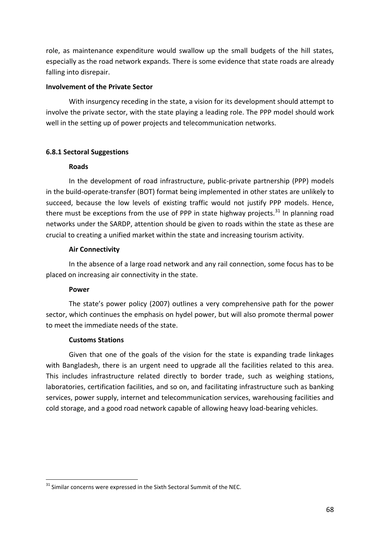role, as maintenance expenditure would swallow up the small budgets of the hill states, especially as the road network expands. There is some evidence that state roads are already falling into disrepair.

## **Involvement of the Private Sector**

With insurgency receding in the state, a vision for its development should attempt to involve the private sector, with the state playing a leading role. The PPP model should work well in the setting up of power projects and telecommunication networks.

# **6.8.1 Sectoral Suggestions**

# **Roads**

In the development of road infrastructure, public-private partnership (PPP) models in the build-operate-transfer (BOT) format being implemented in other states are unlikely to succeed, because the low levels of existing traffic would not justify PPP models. Hence, there must be exceptions from the use of PPP in state highway projects.<sup>31</sup> In planning road networks under the SARDP, attention should be given to roads within the state as these are crucial to creating a unified market within the state and increasing tourism activity.

# **Air Connectivity**

In the absence of a large road network and any rail connection, some focus has to be placed on increasing air connectivity in the state.

### **Power**

The state's power policy (2007) outlines a very comprehensive path for the power sector, which continues the emphasis on hydel power, but will also promote thermal power to meet the immediate needs of the state.

### **Customs Stations**

Given that one of the goals of the vision for the state is expanding trade linkages with Bangladesh, there is an urgent need to upgrade all the facilities related to this area. This includes infrastructure related directly to border trade, such as weighing stations, laboratories, certification facilities, and so on, and facilitating infrastructure such as banking services, power supply, internet and telecommunication services, warehousing facilities and cold storage, and a good road network capable of allowing heavy load-bearing vehicles.

<sup>1</sup>  $31$  Similar concerns were expressed in the Sixth Sectoral Summit of the NEC.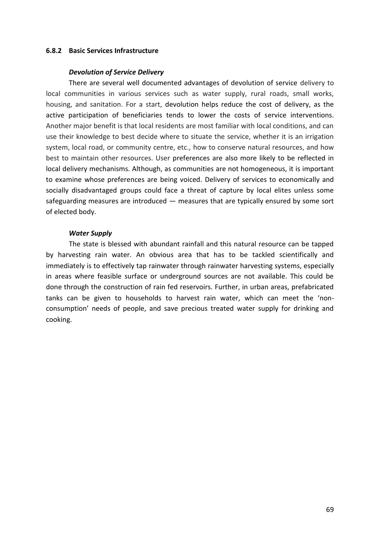### **6.8.2 Basic Services Infrastructure**

#### *Devolution of Service Delivery*

There are several well documented advantages of devolution of service delivery to local communities in various services such as water supply, rural roads, small works, housing, and sanitation. For a start, devolution helps reduce the cost of delivery, as the active participation of beneficiaries tends to lower the costs of service interventions. Another major benefit is that local residents are most familiar with local conditions, and can use their knowledge to best decide where to situate the service, whether it is an irrigation system, local road, or community centre, etc., how to conserve natural resources, and how best to maintain other resources. User preferences are also more likely to be reflected in local delivery mechanisms. Although, as communities are not homogeneous, it is important to examine whose preferences are being voiced. Delivery of services to economically and socially disadvantaged groups could face a threat of capture by local elites unless some safeguarding measures are introduced — measures that are typically ensured by some sort of elected body.

### *Water Supply*

The state is blessed with abundant rainfall and this natural resource can be tapped by harvesting rain water. An obvious area that has to be tackled scientifically and immediately is to effectively tap rainwater through rainwater harvesting systems, especially in areas where feasible surface or underground sources are not available. This could be done through the construction of rain fed reservoirs. Further, in urban areas, prefabricated tanks can be given to households to harvest rain water, which can meet the 'nonconsumption' needs of people, and save precious treated water supply for drinking and cooking.